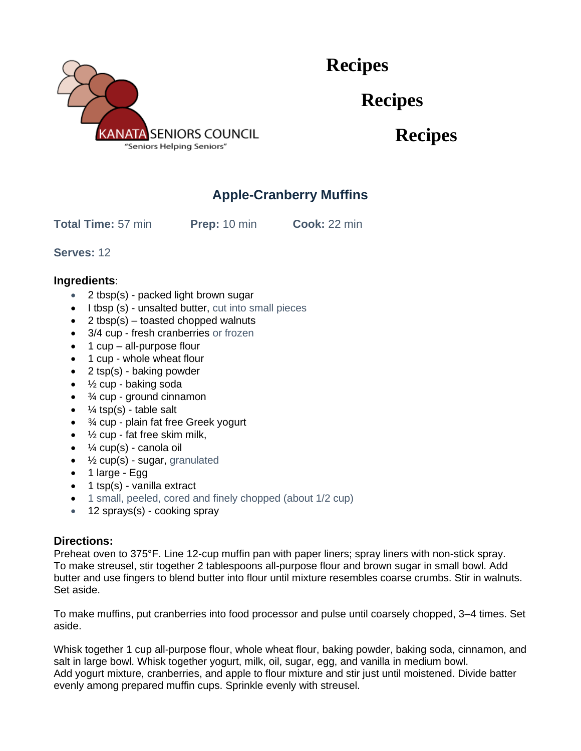

 **Recipes**

**Recipes**

**Recipes**

## **Apple-Cranberry Muffins**

**Total Time:** 57 min **Prep:** 10 min **Cook:** 22 min

**Serves:** 12

## **Ingredients**:

- 2 tbsp(s) packed light brown sugar
- I tbsp (s) unsalted butter, cut into small pieces
- 2 tbsp(s) toasted chopped walnuts
- 3/4 cup fresh cranberries or frozen
- 1 cup all-purpose flour
- 1 cup whole wheat flour
- 2 tsp(s) baking powder
- $\frac{1}{2}$  cup baking soda
- $\bullet$   $\frac{3}{4}$  cup ground cinnamon
- $\frac{1}{4}$  tsp(s) table salt
- $\frac{3}{4}$  cup plain fat free Greek yogurt
- $\bullet$   $\frac{1}{2}$  cup fat free skim milk,
- $\bullet$   $\frac{1}{4}$  cup(s) canola oil
- $\bullet$   $\frac{1}{2}$  cup(s) sugar, granulated
- 1 large Egg
- 1 tsp(s) vanilla extract
- 1 small, peeled, cored and finely chopped (about 1/2 cup)
- 12 sprays(s) cooking spray

## **Directions:**

Preheat oven to 375°F. Line 12-cup muffin pan with paper liners; spray liners with non-stick spray. To make streusel, stir together 2 tablespoons all-purpose flour and brown sugar in small bowl. Add butter and use fingers to blend butter into flour until mixture resembles coarse crumbs. Stir in walnuts. Set aside.

To make muffins, put cranberries into food processor and pulse until coarsely chopped, 3–4 times. Set aside.

Whisk together 1 cup all-purpose flour, whole wheat flour, baking powder, baking soda, cinnamon, and salt in large bowl. Whisk together yogurt, milk, oil, sugar, egg, and vanilla in medium bowl. Add yogurt mixture, cranberries, and apple to flour mixture and stir just until moistened. Divide batter evenly among prepared muffin cups. Sprinkle evenly with streusel.